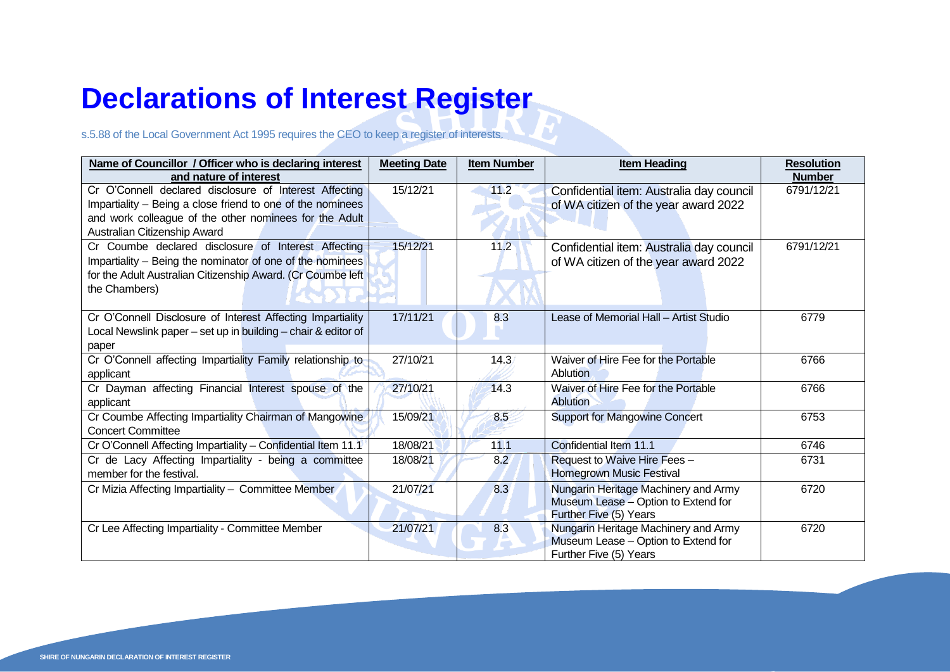## **Declarations of Interest Register**

## s.5.88 of the Local Government Act 1995 requires the CEO to keep a register of interests.

| Name of Councillor / Officer who is declaring interest        | <b>Meeting Date</b> | <b>Item Number</b> | <b>Item Heading</b>                      | <b>Resolution</b> |
|---------------------------------------------------------------|---------------------|--------------------|------------------------------------------|-------------------|
| and nature of interest                                        |                     |                    |                                          | <b>Number</b>     |
| Cr O'Connell declared disclosure of Interest Affecting        | 15/12/21            | 11.2               | Confidential item: Australia day council | 6791/12/21        |
| Impartiality - Being a close friend to one of the nominees    |                     |                    | of WA citizen of the year award 2022     |                   |
| and work colleague of the other nominees for the Adult        |                     |                    |                                          |                   |
| Australian Citizenship Award                                  |                     |                    |                                          |                   |
| Cr Coumbe declared disclosure of Interest Affecting           | 15/12/21            | 11.2               | Confidential item: Australia day council | 6791/12/21        |
| Impartiality - Being the nominator of one of the nominees     |                     |                    | of WA citizen of the year award 2022     |                   |
| for the Adult Australian Citizenship Award. (Cr Coumbe left   |                     |                    |                                          |                   |
| the Chambers)                                                 |                     |                    |                                          |                   |
|                                                               |                     |                    |                                          |                   |
| Cr O'Connell Disclosure of Interest Affecting Impartiality    | 17/11/21            | 8.3                | Lease of Memorial Hall - Artist Studio   | 6779              |
| Local Newslink paper - set up in building - chair & editor of |                     |                    |                                          |                   |
| paper                                                         |                     |                    |                                          |                   |
| Cr O'Connell affecting Impartiality Family relationship to    | 27/10/21            | 14.3               | Waiver of Hire Fee for the Portable      | 6766              |
| applicant                                                     |                     |                    | <b>Ablution</b>                          |                   |
| Cr Dayman affecting Financial Interest spouse of the          | 27/10/21            | 14.3               | Waiver of Hire Fee for the Portable      | 6766              |
| applicant                                                     |                     |                    | <b>Ablution</b>                          |                   |
| Cr Coumbe Affecting Impartiality Chairman of Mangowine        | 15/09/21            | 8.5                | <b>Support for Mangowine Concert</b>     | 6753              |
| <b>Concert Committee</b>                                      |                     |                    |                                          |                   |
| Cr O'Connell Affecting Impartiality - Confidential Item 11.1  | 18/08/21            | 11.1               | Confidential Item 11.1                   | 6746              |
| Cr de Lacy Affecting Impartiality - being a committee         | 18/08/21            | 8.2                | Request to Waive Hire Fees -             | 6731              |
| member for the festival.                                      |                     |                    | <b>Homegrown Music Festival</b>          |                   |
| Cr Mizia Affecting Impartiality - Committee Member            | 21/07/21            | 8.3                | Nungarin Heritage Machinery and Army     | 6720              |
|                                                               |                     |                    | Museum Lease - Option to Extend for      |                   |
|                                                               |                     |                    | Further Five (5) Years                   |                   |
| Cr Lee Affecting Impartiality - Committee Member              | 21/07/21            | 8.3                | Nungarin Heritage Machinery and Army     | 6720              |
|                                                               |                     |                    | Museum Lease - Option to Extend for      |                   |
|                                                               |                     |                    | Further Five (5) Years                   |                   |

J.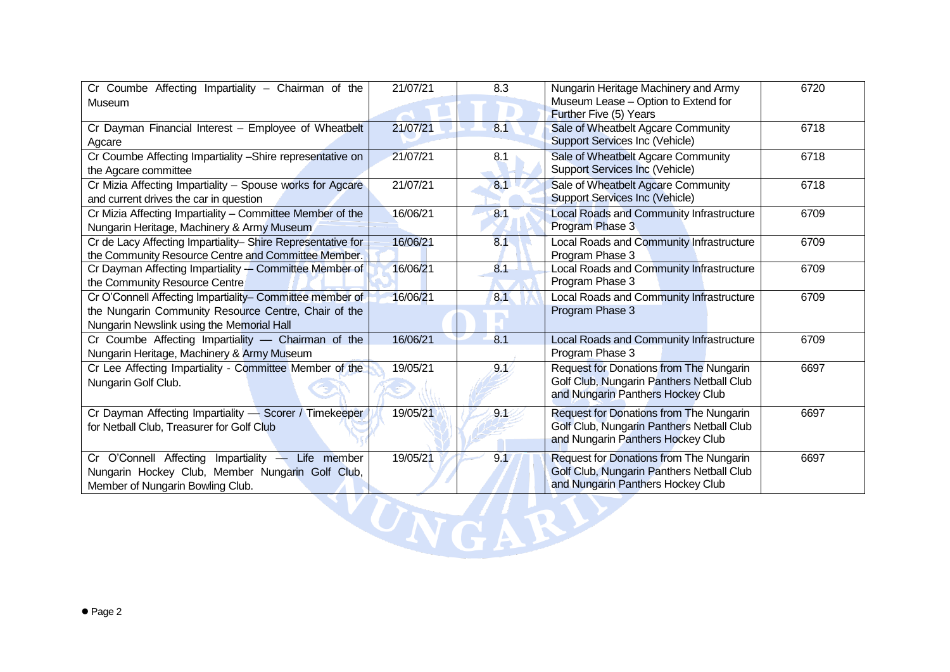| Cr Coumbe Affecting Impartiality - Chairman of the          | 21/07/21 | 8.3 | Nungarin Heritage Machinery and Army      | 6720 |
|-------------------------------------------------------------|----------|-----|-------------------------------------------|------|
| Museum                                                      |          |     | Museum Lease - Option to Extend for       |      |
|                                                             |          |     | Further Five (5) Years                    |      |
| Cr Dayman Financial Interest - Employee of Wheatbelt        | 21/07/21 | 8.1 | Sale of Wheatbelt Agcare Community        | 6718 |
| Agcare                                                      |          |     | <b>Support Services Inc (Vehicle)</b>     |      |
| Cr Coumbe Affecting Impartiality -Shire representative on   | 21/07/21 | 8.1 | Sale of Wheatbelt Agcare Community        | 6718 |
| the Agcare committee                                        |          |     | <b>Support Services Inc (Vehicle)</b>     |      |
| Cr Mizia Affecting Impartiality - Spouse works for Agcare   | 21/07/21 | 8.1 | Sale of Wheatbelt Agcare Community        | 6718 |
| and current drives the car in question                      |          |     | Support Services Inc (Vehicle)            |      |
| Cr Mizia Affecting Impartiality - Committee Member of the   | 16/06/21 | 8.1 | Local Roads and Community Infrastructure  | 6709 |
| Nungarin Heritage, Machinery & Army Museum                  |          |     | Program Phase 3                           |      |
| Cr de Lacy Affecting Impartiality- Shire Representative for | 16/06/21 | 8.1 | Local Roads and Community Infrastructure  | 6709 |
| the Community Resource Centre and Committee Member.         |          |     | Program Phase 3                           |      |
| Cr Dayman Affecting Impartiality -- Committee Member of     | 16/06/21 | 8.1 | Local Roads and Community Infrastructure  | 6709 |
| the Community Resource Centre                               |          |     | Program Phase 3                           |      |
| Cr O'Connell Affecting Impartiality- Committee member of    | 16/06/21 | 8.1 | Local Roads and Community Infrastructure  | 6709 |
| the Nungarin Community Resource Centre, Chair of the        |          |     | Program Phase 3                           |      |
| Nungarin Newslink using the Memorial Hall                   |          |     |                                           |      |
| Cr Coumbe Affecting Impartiality - Chairman of the          | 16/06/21 | 8.1 | Local Roads and Community Infrastructure  | 6709 |
| Nungarin Heritage, Machinery & Army Museum                  |          |     | Program Phase 3                           |      |
| Cr Lee Affecting Impartiality - Committee Member of the     | 19/05/21 | 98  | Request for Donations from The Nungarin   | 6697 |
| Nungarin Golf Club.                                         |          |     | Golf Club, Nungarin Panthers Netball Club |      |
|                                                             |          |     | and Nungarin Panthers Hockey Club         |      |
| Cr Dayman Affecting Impartiality - Scorer / Timekeeper      | 19/05/21 | 91  | Request for Donations from The Nungarin   | 6697 |
| for Netball Club, Treasurer for Golf Club                   |          |     | Golf Club, Nungarin Panthers Netball Club |      |
|                                                             |          |     | and Nungarin Panthers Hockey Club         |      |
| Cr O'Connell Affecting Impartiality - Life member           | 19/05/21 | 9.1 | Request for Donations from The Nungarin   | 6697 |
| Nungarin Hockey Club, Member Nungarin Golf Club,            |          |     | Golf Club, Nungarin Panthers Netball Club |      |
| Member of Nungarin Bowling Club.                            |          |     | and Nungarin Panthers Hockey Club         |      |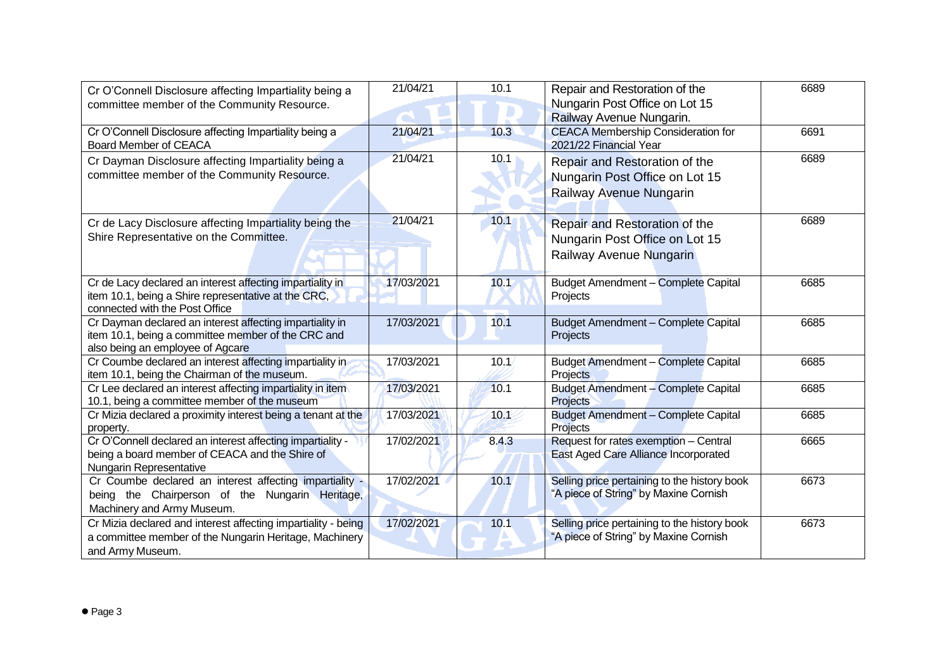| Cr O'Connell Disclosure affecting Impartiality being a<br>committee member of the Community Resource.                                              | 21/04/21   | 10.1  | Repair and Restoration of the<br>Nungarin Post Office on Lot 15<br>Railway Avenue Nungarin. | 6689 |
|----------------------------------------------------------------------------------------------------------------------------------------------------|------------|-------|---------------------------------------------------------------------------------------------|------|
| Cr O'Connell Disclosure affecting Impartiality being a<br><b>Board Member of CEACA</b>                                                             | 21/04/21   | 10.3  | <b>CEACA Membership Consideration for</b><br>2021/22 Financial Year                         | 6691 |
| Cr Dayman Disclosure affecting Impartiality being a<br>committee member of the Community Resource.                                                 | 21/04/21   | 10.1  | Repair and Restoration of the<br>Nungarin Post Office on Lot 15<br>Railway Avenue Nungarin  | 6689 |
| Cr de Lacy Disclosure affecting Impartiality being the<br>Shire Representative on the Committee.                                                   | 21/04/21   | 10.1  | Repair and Restoration of the<br>Nungarin Post Office on Lot 15<br>Railway Avenue Nungarin  | 6689 |
| Cr de Lacy declared an interest affecting impartiality in<br>item 10.1, being a Shire representative at the CRC,<br>connected with the Post Office | 17/03/2021 | 10.1  | Budget Amendment - Complete Capital<br>Projects                                             | 6685 |
| Cr Dayman declared an interest affecting impartiality in<br>item 10.1, being a committee member of the CRC and<br>also being an employee of Agcare | 17/03/2021 | 10.1  | <b>Budget Amendment - Complete Capital</b><br>Projects                                      | 6685 |
| Cr Coumbe declared an interest affecting impartiality in<br>item 10.1, being the Chairman of the museum.                                           | 17/03/2021 | 10.1  | Budget Amendment - Complete Capital<br>Projects                                             | 6685 |
| Cr Lee declared an interest affecting impartiality in item<br>10.1, being a committee member of the museum                                         | 17/03/2021 | 10.1  | <b>Budget Amendment - Complete Capital</b><br><b>Projects</b>                               | 6685 |
| Cr Mizia declared a proximity interest being a tenant at the<br>property.                                                                          | 17/03/2021 | 10.1  | <b>Budget Amendment - Complete Capital</b><br>Projects                                      | 6685 |
| Cr O'Connell declared an interest affecting impartiality -<br>being a board member of CEACA and the Shire of<br>Nungarin Representative            | 17/02/2021 | 8.4.3 | Request for rates exemption - Central<br>East Aged Care Alliance Incorporated               | 6665 |
| Cr Coumbe declared an interest affecting impartiality -<br>being the Chairperson of the Nungarin Heritage,<br>Machinery and Army Museum.           | 17/02/2021 | 10.1  | Selling price pertaining to the history book<br>"A piece of String" by Maxine Cornish       | 6673 |
| Cr Mizia declared and interest affecting impartiality - being<br>a committee member of the Nungarin Heritage, Machinery<br>and Army Museum.        | 17/02/2021 | 10.1  | Selling price pertaining to the history book<br>"A piece of String" by Maxine Cornish       | 6673 |